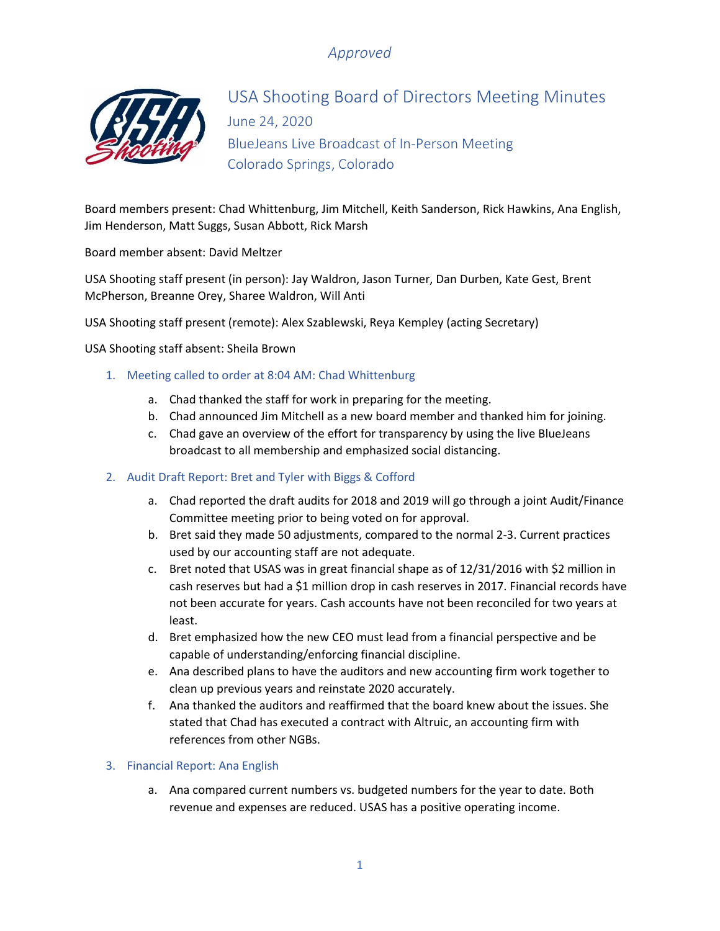

# USA Shooting Board of Directors Meeting Minutes June 24, 2020 BlueJeans Live Broadcast of In-Person Meeting Colorado Springs, Colorado

Board members present: Chad Whittenburg, Jim Mitchell, Keith Sanderson, Rick Hawkins, Ana English, Jim Henderson, Matt Suggs, Susan Abbott, Rick Marsh

Board member absent: David Meltzer

USA Shooting staff present (in person): Jay Waldron, Jason Turner, Dan Durben, Kate Gest, Brent McPherson, Breanne Orey, Sharee Waldron, Will Anti

USA Shooting staff present (remote): Alex Szablewski, Reya Kempley (acting Secretary)

USA Shooting staff absent: Sheila Brown

- 1. Meeting called to order at 8:04 AM: Chad Whittenburg
	- a. Chad thanked the staff for work in preparing for the meeting.
	- b. Chad announced Jim Mitchell as a new board member and thanked him for joining.
	- c. Chad gave an overview of the effort for transparency by using the live BlueJeans broadcast to all membership and emphasized social distancing.
- 2. Audit Draft Report: Bret and Tyler with Biggs & Cofford
	- a. Chad reported the draft audits for 2018 and 2019 will go through a joint Audit/Finance Committee meeting prior to being voted on for approval.
	- b. Bret said they made 50 adjustments, compared to the normal 2-3. Current practices used by our accounting staff are not adequate.
	- c. Bret noted that USAS was in great financial shape as of 12/31/2016 with \$2 million in cash reserves but had a \$1 million drop in cash reserves in 2017. Financial records have not been accurate for years. Cash accounts have not been reconciled for two years at least.
	- d. Bret emphasized how the new CEO must lead from a financial perspective and be capable of understanding/enforcing financial discipline.
	- e. Ana described plans to have the auditors and new accounting firm work together to clean up previous years and reinstate 2020 accurately.
	- f. Ana thanked the auditors and reaffirmed that the board knew about the issues. She stated that Chad has executed a contract with Altruic, an accounting firm with references from other NGBs.

#### 3. Financial Report: Ana English

a. Ana compared current numbers vs. budgeted numbers for the year to date. Both revenue and expenses are reduced. USAS has a positive operating income.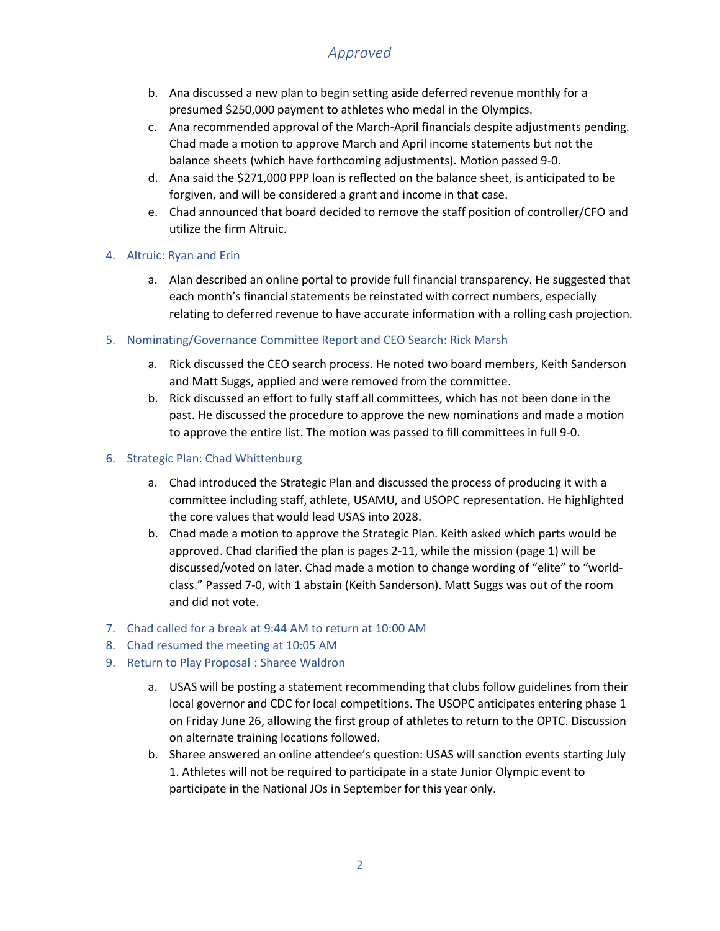- b. Ana discussed a new plan to begin setting aside deferred revenue monthly for a presumed \$250,000 payment to athletes who medal in the Olympics.
- c. Ana recommended approval of the March-April financials despite adjustments pending. Chad made a motion to approve March and April income statements but not the balance sheets (which have forthcoming adjustments). Motion passed 9-0.
- d. Ana said the \$271,000 PPP loan is reflected on the balance sheet, is anticipated to be forgiven, and will be considered a grant and income in that case.
- e. Chad announced that board decided to remove the staff position of controller/CFO and utilize the firm Altruic.

#### 4. Altruic: Ryan and Erin

- a. Alan described an online portal to provide full financial transparency. He suggested that each month's financial statements be reinstated with correct numbers, especially relating to deferred revenue to have accurate information with a rolling cash projection.
- 5. Nominating/Governance Committee Report and CEO Search: Rick Marsh
	- a. Rick discussed the CEO search process. He noted two board members, Keith Sanderson and Matt Suggs, applied and were removed from the committee.
	- b. Rick discussed an effort to fully staff all committees, which has not been done in the past. He discussed the procedure to approve the new nominations and made a motion to approve the entire list. The motion was passed to fill committees in full 9-0.
- 6. Strategic Plan: Chad Whittenburg
	- a. Chad introduced the Strategic Plan and discussed the process of producing it with a committee including staff, athlete, USAMU, and USOPC representation. He highlighted the core values that would lead USAS into 2028.
	- b. Chad made a motion to approve the Strategic Plan. Keith asked which parts would be approved. Chad clarified the plan is pages 2-11, while the mission (page 1) will be discussed/voted on later. Chad made a motion to change wording of "elite" to "worldclass." Passed 7-0, with 1 abstain (Keith Sanderson). Matt Suggs was out of the room and did not vote.
- 7. Chad called for a break at 9:44 AM to return at 10:00 AM
- 8. Chad resumed the meeting at 10:05 AM
- 9. Return to Play Proposal : Sharee Waldron
	- a. USAS will be posting a statement recommending that clubs follow guidelines from their local governor and CDC for local competitions. The USOPC anticipates entering phase 1 on Friday June 26, allowing the first group of athletes to return to the OPTC. Discussion on alternate training locations followed.
	- b. Sharee answered an online attendee's question: USAS will sanction events starting July 1. Athletes will not be required to participate in a state Junior Olympic event to participate in the National JOs in September for this year only.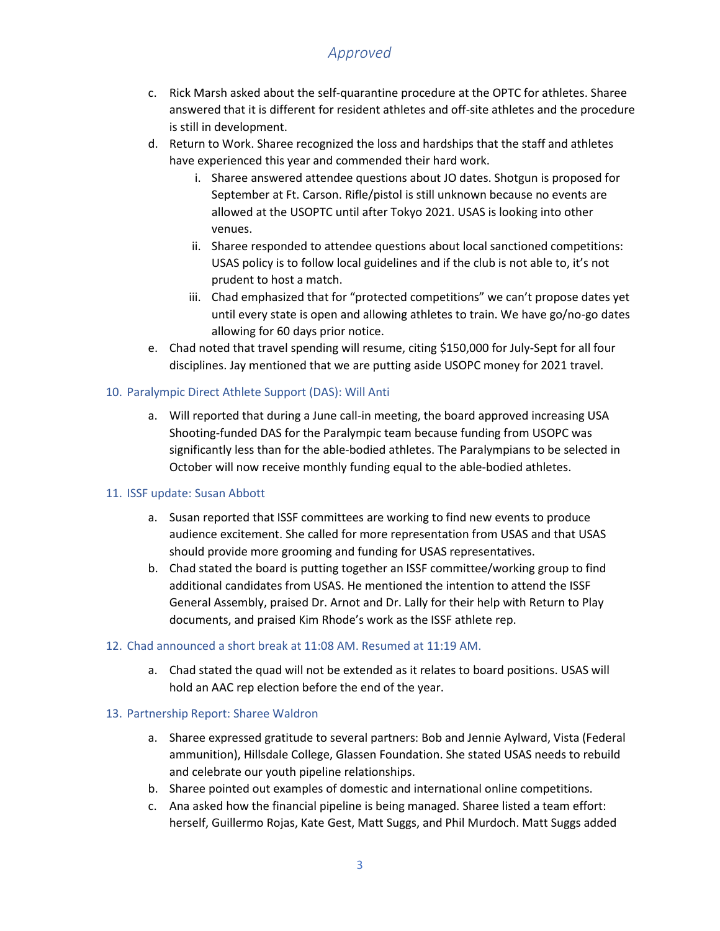- c. Rick Marsh asked about the self-quarantine procedure at the OPTC for athletes. Sharee answered that it is different for resident athletes and off-site athletes and the procedure is still in development.
- d. Return to Work. Sharee recognized the loss and hardships that the staff and athletes have experienced this year and commended their hard work.
	- i. Sharee answered attendee questions about JO dates. Shotgun is proposed for September at Ft. Carson. Rifle/pistol is still unknown because no events are allowed at the USOPTC until after Tokyo 2021. USAS is looking into other venues.
	- ii. Sharee responded to attendee questions about local sanctioned competitions: USAS policy is to follow local guidelines and if the club is not able to, it's not prudent to host a match.
	- iii. Chad emphasized that for "protected competitions" we can't propose dates yet until every state is open and allowing athletes to train. We have go/no-go dates allowing for 60 days prior notice.
- e. Chad noted that travel spending will resume, citing \$150,000 for July-Sept for all four disciplines. Jay mentioned that we are putting aside USOPC money for 2021 travel.

#### 10. Paralympic Direct Athlete Support (DAS): Will Anti

a. Will reported that during a June call-in meeting, the board approved increasing USA Shooting-funded DAS for the Paralympic team because funding from USOPC was significantly less than for the able-bodied athletes. The Paralympians to be selected in October will now receive monthly funding equal to the able-bodied athletes.

#### 11. ISSF update: Susan Abbott

- a. Susan reported that ISSF committees are working to find new events to produce audience excitement. She called for more representation from USAS and that USAS should provide more grooming and funding for USAS representatives.
- b. Chad stated the board is putting together an ISSF committee/working group to find additional candidates from USAS. He mentioned the intention to attend the ISSF General Assembly, praised Dr. Arnot and Dr. Lally for their help with Return to Play documents, and praised Kim Rhode's work as the ISSF athlete rep.

#### 12. Chad announced a short break at 11:08 AM. Resumed at 11:19 AM.

a. Chad stated the quad will not be extended as it relates to board positions. USAS will hold an AAC rep election before the end of the year.

#### 13. Partnership Report: Sharee Waldron

- a. Sharee expressed gratitude to several partners: Bob and Jennie Aylward, Vista (Federal ammunition), Hillsdale College, Glassen Foundation. She stated USAS needs to rebuild and celebrate our youth pipeline relationships.
- b. Sharee pointed out examples of domestic and international online competitions.
- c. Ana asked how the financial pipeline is being managed. Sharee listed a team effort: herself, Guillermo Rojas, Kate Gest, Matt Suggs, and Phil Murdoch. Matt Suggs added